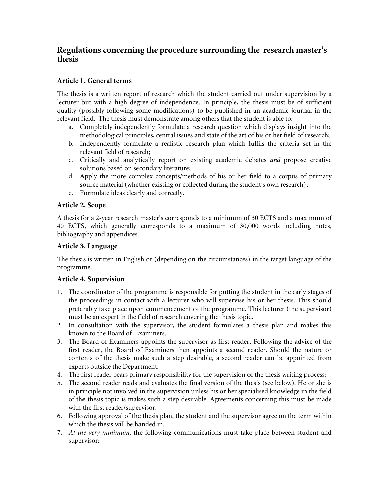# Regulations concerning the procedure surrounding the research master's thesis

## Article 1. General terms

The thesis is a written report of research which the student carried out under supervision by a lecturer but with a high degree of independence. In principle, the thesis must be of sufficient quality (possibly following some modifications) to be published in an academic journal in the relevant field. The thesis must demonstrate among others that the student is able to:

- a. Completely independently formulate a research question which displays insight into the methodological principles, central issues and state of the art of his or her field of research;
- b. Independently formulate a realistic research plan which fulfils the criteria set in the relevant field of research;
- c. Critically and analytically report on existing academic debates and propose creative solutions based on secondary literature;
- d. Apply the more complex concepts/methods of his or her field to a corpus of primary source material (whether existing or collected during the student's own research);
- e. Formulate ideas clearly and correctly.

#### Article 2. Scope

A thesis for a 2-year research master's corresponds to a minimum of 30 ECTS and a maximum of 40 ECTS, which generally corresponds to a maximum of 30,000 words including notes, bibliography and appendices.

#### Article 3. Language

The thesis is written in English or (depending on the circumstances) in the target language of the programme.

#### Article 4. Supervision

- 1. The coordinator of the programme is responsible for putting the student in the early stages of the proceedings in contact with a lecturer who will supervise his or her thesis. This should preferably take place upon commencement of the programme. This lecturer (the supervisor) must be an expert in the field of research covering the thesis topic.
- 2. In consultation with the supervisor, the student formulates a thesis plan and makes this known to the Board of Examiners.
- 3. The Board of Examiners appoints the supervisor as first reader. Following the advice of the first reader, the Board of Examiners then appoints a second reader. Should the nature or contents of the thesis make such a step desirable, a second reader can be appointed from experts outside the Department.
- 4. The first reader bears primary responsibility for the supervision of the thesis writing process;
- 5. The second reader reads and evaluates the final version of the thesis (see below). He or she is in principle not involved in the supervision unless his or her specialised knowledge in the field of the thesis topic is makes such a step desirable. Agreements concerning this must be made with the first reader/supervisor.
- 6. Following approval of the thesis plan, the student and the supervisor agree on the term within which the thesis will be handed in.
- 7. At the very minimum, the following communications must take place between student and supervisor: